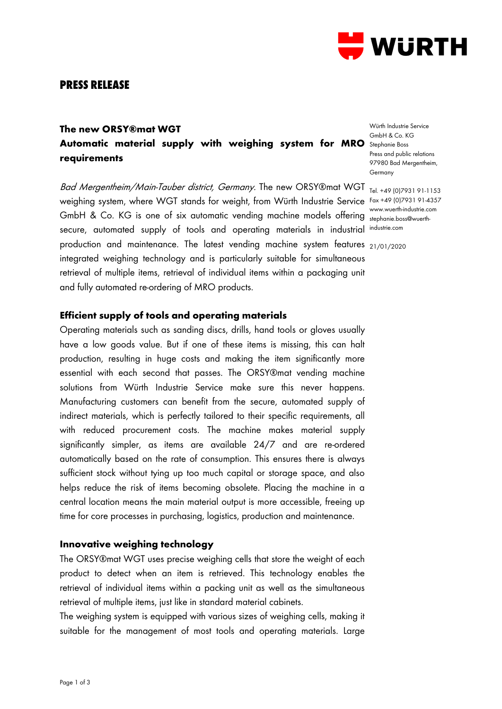

## **PRESS RELEASE**

# **The new ORSY®mat WGT** Automatic material supply with weighing system for MRO Stephanie Boss **requirements**

Bad Mergentheim/Main-Tauber district, Germany. The new ORSY®mat WGT <sub>Tel. +49 (0)7931 91-1153</sub> weighing system, where WGT stands for weight, from Würth Industrie Service Fax +49 (0)7931 91-4357 GmbH & Co. KG is one of six automatic vending machine models offering **Execution Constant Construction** secure, automated supply of tools and operating materials in industrial industrie.com production and maintenance. The latest vending machine system features 21/01/2020integrated weighing technology and is particularly suitable for simultaneous retrieval of multiple items, retrieval of individual items within a packaging unit and fully automated re-ordering of MRO products.

Würth Industrie Service GmbH & Co. KG Press and public relations 97980 Bad Mergentheim, Germany

www.wuerth-industrie.com

### **Efficient supply of tools and operating materials**

Operating materials such as sanding discs, drills, hand tools or gloves usually have a low goods value. But if one of these items is missing, this can halt production, resulting in huge costs and making the item significantly more essential with each second that passes. The ORSY®mat vending machine solutions from Würth Industrie Service make sure this never happens. Manufacturing customers can benefit from the secure, automated supply of indirect materials, which is perfectly tailored to their specific requirements, all with reduced procurement costs. The machine makes material supply significantly simpler, as items are available 24/7 and are re-ordered automatically based on the rate of consumption. This ensures there is always sufficient stock without tying up too much capital or storage space, and also helps reduce the risk of items becoming obsolete. Placing the machine in a central location means the main material output is more accessible, freeing up time for core processes in purchasing, logistics, production and maintenance.

#### **Innovative weighing technology**

The ORSY®mat WGT uses precise weighing cells that store the weight of each product to detect when an item is retrieved. This technology enables the retrieval of individual items within a packing unit as well as the simultaneous retrieval of multiple items, just like in standard material cabinets.

The weighing system is equipped with various sizes of weighing cells, making it suitable for the management of most tools and operating materials. Large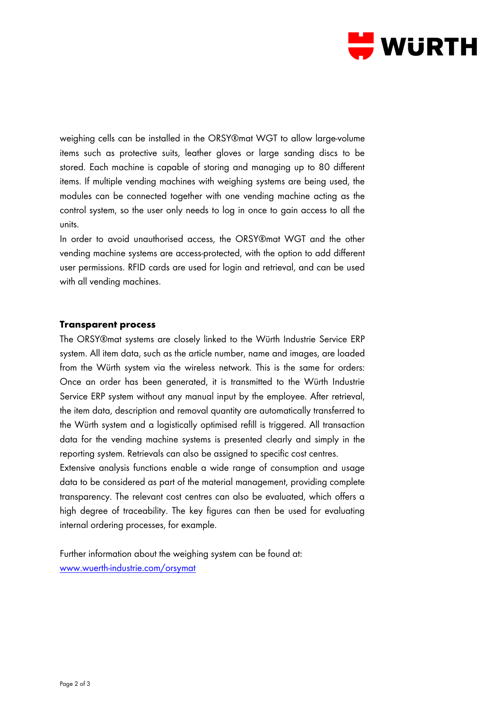

weighing cells can be installed in the ORSY®mat WGT to allow large-volume items such as protective suits, leather gloves or large sanding discs to be stored. Each machine is capable of storing and managing up to 80 different items. If multiple vending machines with weighing systems are being used, the modules can be connected together with one vending machine acting as the control system, so the user only needs to log in once to gain access to all the units.

In order to avoid unauthorised access, the ORSY®mat WGT and the other vending machine systems are access-protected, with the option to add different user permissions. RFID cards are used for login and retrieval, and can be used with all vending machines.

#### **Transparent process**

The ORSY®mat systems are closely linked to the Würth Industrie Service ERP system. All item data, such as the article number, name and images, are loaded from the Würth system via the wireless network. This is the same for orders: Once an order has been generated, it is transmitted to the Würth Industrie Service ERP system without any manual input by the employee. After retrieval, the item data, description and removal quantity are automatically transferred to the Würth system and a logistically optimised refill is triggered. All transaction data for the vending machine systems is presented clearly and simply in the reporting system. Retrievals can also be assigned to specific cost centres. Extensive analysis functions enable a wide range of consumption and usage

data to be considered as part of the material management, providing complete transparency. The relevant cost centres can also be evaluated, which offers a high degree of traceability. The key figures can then be used for evaluating internal ordering processes, for example.

Further information about the weighing system can be found at: [www.wuerth-industrie.com/orsymat](http://www.wuerth-industrie.com/orsymat)